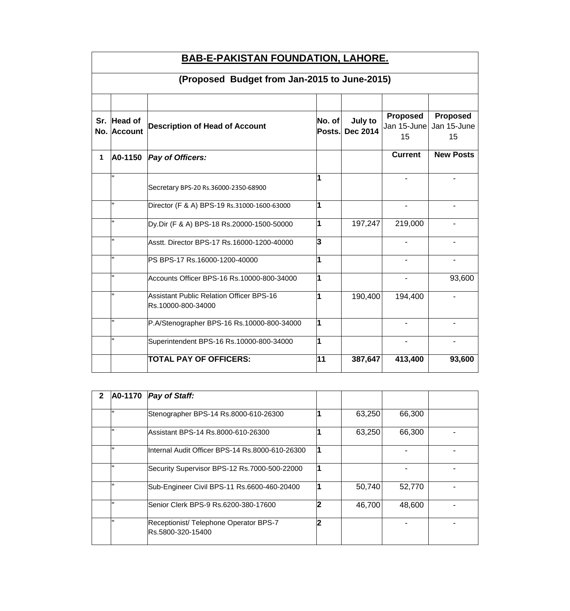|             | <b>BAB-E-PAKISTAN FOUNDATION, LAHORE.</b>    |                                                                       |                  |                            |                                      |                                      |  |  |  |
|-------------|----------------------------------------------|-----------------------------------------------------------------------|------------------|----------------------------|--------------------------------------|--------------------------------------|--|--|--|
|             | (Proposed Budget from Jan-2015 to June-2015) |                                                                       |                  |                            |                                      |                                      |  |  |  |
| Sr.         | <b>Head of</b><br>No. Account                | <b>Description of Head of Account</b>                                 | No. of<br>Posts. | July to<br><b>Dec 2014</b> | <b>Proposed</b><br>Jan 15-June<br>15 | <b>Proposed</b><br>Jan 15-June<br>15 |  |  |  |
| $\mathbf 1$ | A0-1150                                      | Pay of Officers:                                                      |                  |                            | <b>Current</b>                       | <b>New Posts</b>                     |  |  |  |
|             |                                              | Secretary BPS-20 Rs.36000-2350-68900                                  |                  |                            |                                      |                                      |  |  |  |
|             | H.                                           | Director (F & A) BPS-19 Rs.31000-1600-63000                           | 1                |                            |                                      |                                      |  |  |  |
|             | H.                                           | Dy.Dir (F & A) BPS-18 Rs.20000-1500-50000                             | 1                | 197,247                    | 219,000                              |                                      |  |  |  |
|             |                                              | Asstt. Director BPS-17 Rs.16000-1200-40000                            | 3                |                            |                                      |                                      |  |  |  |
|             | $\mathbf{H}$                                 | PS BPS-17 Rs.16000-1200-40000                                         |                  |                            | $\overline{\phantom{a}}$             | $\blacksquare$                       |  |  |  |
|             | H.                                           | Accounts Officer BPS-16 Rs.10000-800-34000                            | 1                |                            | $\blacksquare$                       | 93,600                               |  |  |  |
|             |                                              | <b>Assistant Public Relation Officer BPS-16</b><br>Rs.10000-800-34000 | 1                | 190,400                    | 194,400                              |                                      |  |  |  |
|             |                                              | P.A/Stenographer BPS-16 Rs.10000-800-34000                            | 1                |                            |                                      |                                      |  |  |  |
|             |                                              | Superintendent BPS-16 Rs.10000-800-34000                              | 1                |                            | $\blacksquare$                       |                                      |  |  |  |
|             |                                              | <b>TOTAL PAY OF OFFICERS:</b>                                         | 11               | 387,647                    | 413,400                              | 93,600                               |  |  |  |

| 2 | A0-1170 | <b>Pay of Staff:</b>                                        |        |        |  |
|---|---------|-------------------------------------------------------------|--------|--------|--|
|   | w       | Stenographer BPS-14 Rs.8000-610-26300                       | 63,250 | 66,300 |  |
|   |         | Assistant BPS-14 Rs.8000-610-26300                          | 63,250 | 66,300 |  |
|   |         | Internal Audit Officer BPS-14 Rs.8000-610-26300             |        |        |  |
|   |         | Security Supervisor BPS-12 Rs.7000-500-22000                |        |        |  |
|   | п       | Sub-Engineer Civil BPS-11 Rs.6600-460-20400                 | 50,740 | 52,770 |  |
|   | ш       | Senior Clerk BPS-9 Rs.6200-380-17600                        | 46,700 | 48,600 |  |
|   |         | Receptionist/ Telephone Operator BPS-7<br>Rs.5800-320-15400 |        |        |  |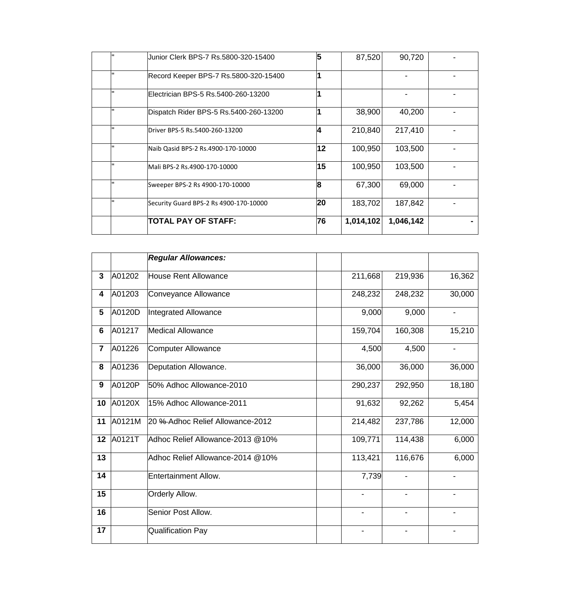| Junior Clerk BPS-7 Rs.5800-320-15400   | 5  | 87,520    | 90,720    |  |
|----------------------------------------|----|-----------|-----------|--|
| Record Keeper BPS-7 Rs.5800-320-15400  |    |           |           |  |
| Electrician BPS-5 Rs.5400-260-13200    |    |           |           |  |
| Dispatch Rider BPS-5 Rs.5400-260-13200 |    | 38,900    | 40,200    |  |
| Driver BPS-5 Rs.5400-260-13200         | 14 | 210,840   | 217,410   |  |
| Naib Qasid BPS-2 Rs.4900-170-10000     | 12 | 100,950   | 103,500   |  |
| lMali BPS-2 Rs.4900-170-10000          | 15 | 100,950   | 103,500   |  |
| Sweeper BPS-2 Rs 4900-170-10000        | 18 | 67,300    | 69,000    |  |
| Security Guard BPS-2 Rs 4900-170-10000 | 20 | 183,702   | 187,842   |  |
| <b>TOTAL PAY OF STAFF:</b>             | 76 | 1,014,102 | 1,046,142 |  |

|                |        | <b>Regular Allowances:</b>       |                          |                          |        |
|----------------|--------|----------------------------------|--------------------------|--------------------------|--------|
| 3              | A01202 | House Rent Allowance             | 211,668                  | 219,936                  | 16,362 |
| 4              | A01203 | Conveyance Allowance             | 248,232                  | 248,232                  | 30,000 |
| 5              | A0120D | Integrated Allowance             | 9,000                    | 9,000                    |        |
| $6\phantom{1}$ | A01217 | <b>Medical Allowance</b>         | 159,704                  | 160,308                  | 15,210 |
| $\overline{7}$ | A01226 | Computer Allowance               | 4,500                    | 4,500                    |        |
| 8              | A01236 | Deputation Allowance.            | 36,000                   | 36,000                   | 36,000 |
| 9              | A0120P | 50% Adhoc Allowance-2010         | 290,237                  | 292,950                  | 18,180 |
| 10             | A0120X | 15% Adhoc Allowance-2011         | 91,632                   | 92,262                   | 5,454  |
| 11             | A0121M | 20 % Adhoc Relief Allowance-2012 | 214,482                  | 237,786                  | 12,000 |
| 12             | A0121T | Adhoc Relief Allowance-2013 @10% | 109,771                  | 114,438                  | 6,000  |
| 13             |        | Adhoc Relief Allowance-2014 @10% | 113,421                  | 116,676                  | 6,000  |
| 14             |        | <b>Entertainment Allow.</b>      | 7,739                    |                          |        |
| 15             |        | Orderly Allow.                   | $\overline{\phantom{a}}$ | $\overline{\phantom{a}}$ |        |
| 16             |        | Senior Post Allow.               |                          |                          |        |
| 17             |        | <b>Qualification Pay</b>         |                          |                          |        |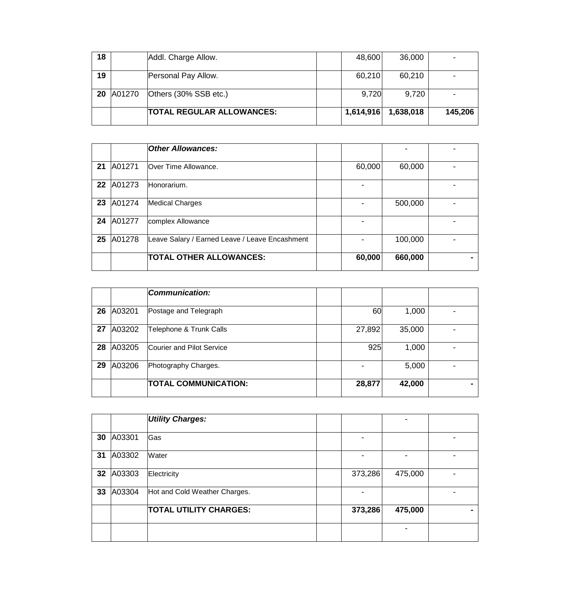| 18 |        | Addl. Charge Allow.              | 48,600    | 36,000    |         |
|----|--------|----------------------------------|-----------|-----------|---------|
| 19 |        | Personal Pay Allow.              | 60,210    | 60,210    |         |
| 20 | A01270 | Others (30% SSB etc.)            | 9,720     | 9,720     |         |
|    |        | <b>TOTAL REGULAR ALLOWANCES:</b> | 1,614,916 | 1,638,018 | 145,206 |

|    |        | <b>Other Allowances:</b>                       |        |         |  |
|----|--------|------------------------------------------------|--------|---------|--|
| 21 | A01271 | Over Time Allowance.                           | 60,000 | 60,000  |  |
| 22 | A01273 | Honorarium.                                    |        |         |  |
| 23 | A01274 | <b>Medical Charges</b>                         |        | 500,000 |  |
| 24 | A01277 | complex Allowance                              |        |         |  |
| 25 | A01278 | Leave Salary / Earned Leave / Leave Encashment |        | 100,000 |  |
|    |        | <b>TOTAL OTHER ALLOWANCES:</b>                 | 60,000 | 660,000 |  |

|    |        | Communication:              |        |        |  |
|----|--------|-----------------------------|--------|--------|--|
| 26 | A03201 | Postage and Telegraph       | 60     | 1,000  |  |
| 27 | A03202 | Telephone & Trunk Calls     | 27,892 | 35,000 |  |
| 28 | A03205 | Courier and Pilot Service   | 925    | 1,000  |  |
| 29 | A03206 | Photography Charges.        |        | 5,000  |  |
|    |        | <b>TOTAL COMMUNICATION:</b> | 28,877 | 42,000 |  |

|    |        | <b>Utility Charges:</b>       |                          |         |  |
|----|--------|-------------------------------|--------------------------|---------|--|
| 30 | A03301 | Gas                           | -                        |         |  |
| 31 | A03302 | Water                         | $\overline{\phantom{0}}$ |         |  |
| 32 | A03303 | Electricity                   | 373,286                  | 475,000 |  |
| 33 | A03304 | Hot and Cold Weather Charges. | $\overline{\phantom{a}}$ |         |  |
|    |        | <b>TOTAL UTILITY CHARGES:</b> | 373,286                  | 475,000 |  |
|    |        |                               |                          |         |  |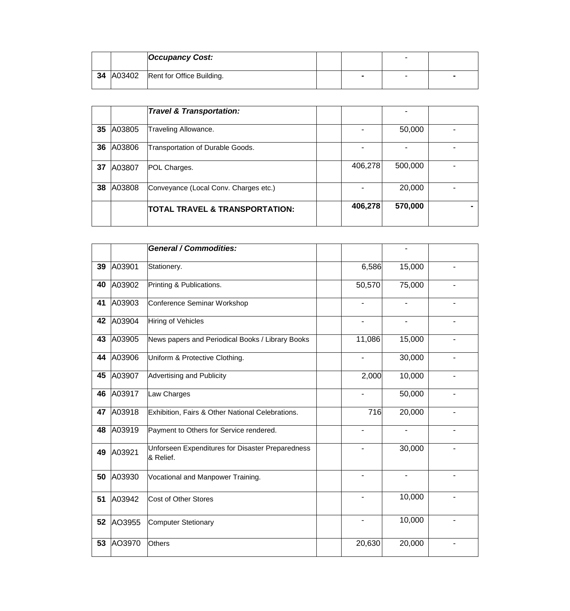|                  | <b>Occupancy Cost:</b>    |  | - |  |
|------------------|---------------------------|--|---|--|
| <b>34 A03402</b> | Rent for Office Building. |  | - |  |

|    |        | <b>Travel &amp; Transportation:</b>   |         |         |  |
|----|--------|---------------------------------------|---------|---------|--|
| 35 | A03805 | Traveling Allowance.                  |         | 50,000  |  |
| 36 | A03806 | Transportation of Durable Goods.      |         |         |  |
| 37 | A03807 | POL Charges.                          | 406,278 | 500,000 |  |
| 38 | A03808 | Conveyance (Local Conv. Charges etc.) |         | 20,000  |  |
|    |        | TOTAL TRAVEL & TRANSPORTATION:        | 406,278 | 570,000 |  |

|    |        | <b>General / Commodities:</b>                                 |                          |                |  |
|----|--------|---------------------------------------------------------------|--------------------------|----------------|--|
| 39 | A03901 | Stationery.                                                   | 6,586                    | 15,000         |  |
| 40 | A03902 | Printing & Publications.                                      | 50,570                   | 75,000         |  |
| 41 | A03903 | Conference Seminar Workshop                                   | $\overline{\phantom{a}}$ | $\blacksquare$ |  |
| 42 | A03904 | Hiring of Vehicles                                            |                          |                |  |
| 43 | A03905 | News papers and Periodical Books / Library Books              | 11,086                   | 15,000         |  |
| 44 | A03906 | Uniform & Protective Clothing.                                | $\overline{\phantom{a}}$ | 30,000         |  |
| 45 | A03907 | <b>Advertising and Publicity</b>                              | 2,000                    | 10,000         |  |
| 46 | A03917 | Law Charges                                                   | $\overline{\phantom{a}}$ | 50,000         |  |
| 47 | A03918 | Exhibition, Fairs & Other National Celebrations.              | 716                      | 20,000         |  |
| 48 | A03919 | Payment to Others for Service rendered.                       |                          |                |  |
| 49 | A03921 | Unforseen Expenditures for Disaster Preparedness<br>& Relief. |                          | 30,000         |  |
| 50 | A03930 | Vocational and Manpower Training.                             |                          |                |  |
| 51 | A03942 | <b>Cost of Other Stores</b>                                   |                          | 10,000         |  |
| 52 | AO3955 | <b>Computer Stetionary</b>                                    | $\blacksquare$           | 10,000         |  |
| 53 | AO3970 | <b>Others</b>                                                 | 20,630                   | 20,000         |  |